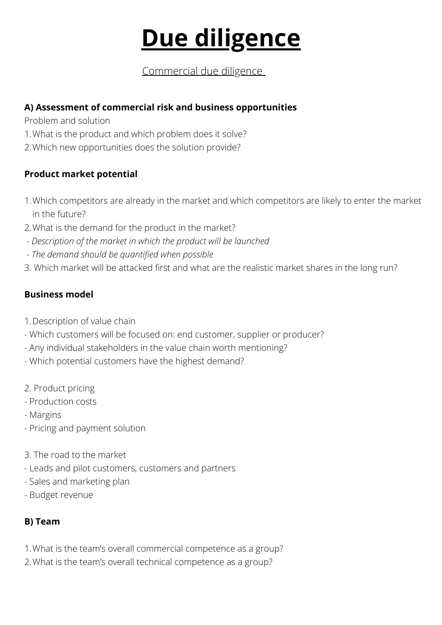# **Due diligence**

# Commercial due diligence

#### **A) Assessment of commercial risk and business opportunities**

Problem and solution

- What is the product and which problem does it solve? 1.
- Which new opportunities does the solution provide? 2.

#### **Product market potential**

- Which competitors are already in the market and which competitors are likely to enter the market 1. in the future?
- What is the demand for the product in the market? 2.
- *Description of the market in which the product will be launched*
- *The demand should be quantified when possible*
- 3. Which market will be attacked first and what are the realistic market shares in the long run?

## **Business model**

- 1. Description of value chain
- Which customers will be focused on: end customer, supplier or producer?
- Any individual stakeholders in the value chain worth mentioning?
- Which potential customers have the highest demand?
- 2. Product pricing
- Production costs
- Margins
- Pricing and payment solution
- 3. The road to the market
- Leads and pilot customers, customers and partners
- Sales and marketing plan
- Budget revenue

## **B) Team**

- What is the team's overall commercial competence as a group? 1.
- 2. What is the team's overall technical competence as a group?